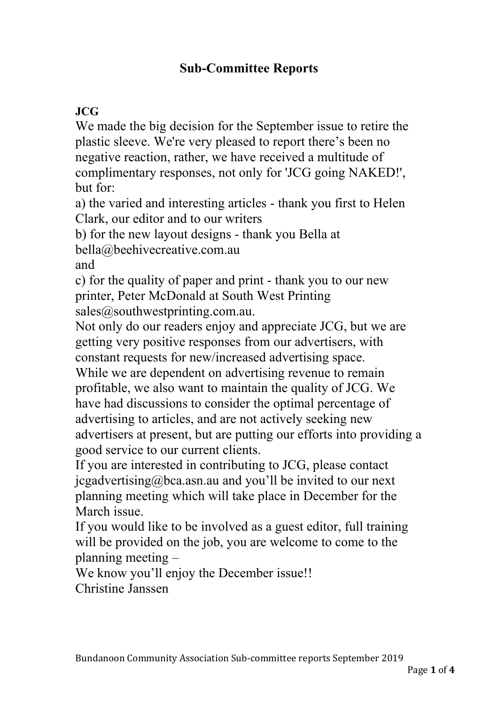#### **Sub-Committee Reports**

#### **JCG**

We made the big decision for the September issue to retire the plastic sleeve. We're very pleased to report there's been no negative reaction, rather, we have received a multitude of complimentary responses, not only for 'JCG going NAKED!', but for:

a) the varied and interesting articles - thank you first to Helen Clark, our editor and to our writers

b) for the new layout designs - thank you Bella at

bella@beehivecreative.com.au

and

c) for the quality of paper and print - thank you to our new printer, Peter McDonald at South West Printing sales@southwestprinting.com.au.

Not only do our readers enjoy and appreciate JCG, but we are getting very positive responses from our advertisers, with constant requests for new/increased advertising space.

While we are dependent on advertising revenue to remain profitable, we also want to maintain the quality of JCG. We have had discussions to consider the optimal percentage of advertising to articles, and are not actively seeking new advertisers at present, but are putting our efforts into providing a good service to our current clients.

If you are interested in contributing to JCG, please contact jcgadvertising@bca.asn.au and you'll be invited to our next planning meeting which will take place in December for the March issue.

If you would like to be involved as a guest editor, full training will be provided on the job, you are welcome to come to the planning meeting –

We know you'll enjoy the December issue!! Christine Janssen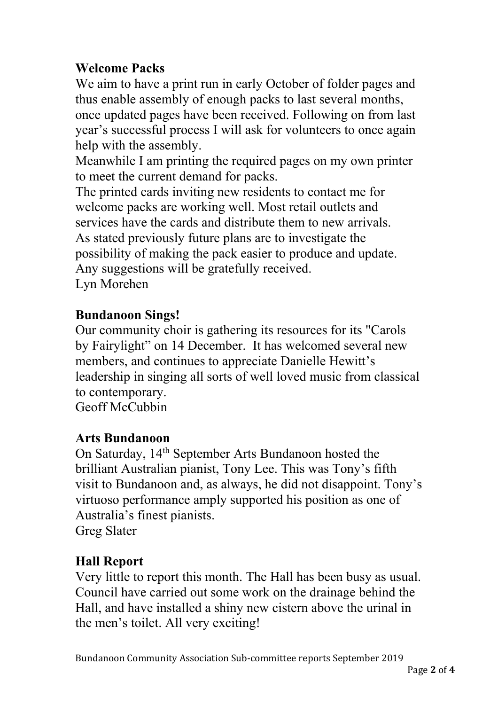# **Welcome Packs**

We aim to have a print run in early October of folder pages and thus enable assembly of enough packs to last several months, once updated pages have been received. Following on from last year's successful process I will ask for volunteers to once again help with the assembly.

Meanwhile I am printing the required pages on my own printer to meet the current demand for packs.

The printed cards inviting new residents to contact me for welcome packs are working well. Most retail outlets and services have the cards and distribute them to new arrivals. As stated previously future plans are to investigate the possibility of making the pack easier to produce and update. Any suggestions will be gratefully received. Lyn Morehen

### **Bundanoon Sings!**

Our community choir is gathering its resources for its "Carols by Fairylight" on 14 December. It has welcomed several new members, and continues to appreciate Danielle Hewitt's leadership in singing all sorts of well loved music from classical to contemporary. Geoff McCubbin

#### **Arts Bundanoon**

On Saturday, 14th September Arts Bundanoon hosted the brilliant Australian pianist, Tony Lee. This was Tony's fifth visit to Bundanoon and, as always, he did not disappoint. Tony's virtuoso performance amply supported his position as one of Australia's finest pianists. Greg Slater

# **Hall Report**

Very little to report this month. The Hall has been busy as usual. Council have carried out some work on the drainage behind the Hall, and have installed a shiny new cistern above the urinal in the men's toilet. All very exciting!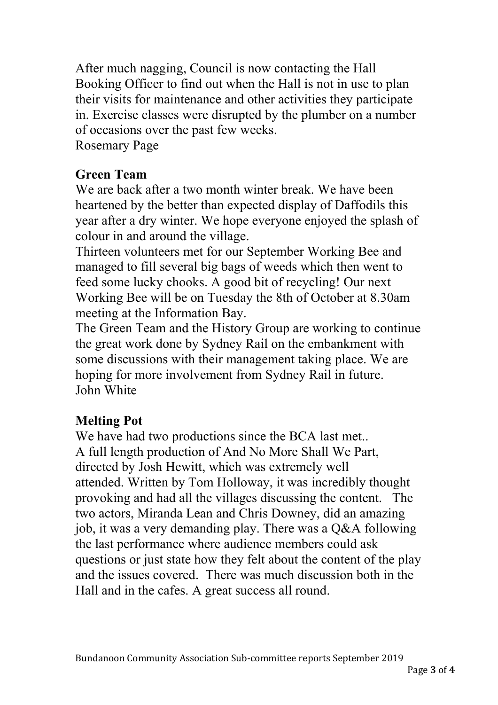After much nagging, Council is now contacting the Hall Booking Officer to find out when the Hall is not in use to plan their visits for maintenance and other activities they participate in. Exercise classes were disrupted by the plumber on a number of occasions over the past few weeks. Rosemary Page

# **Green Team**

We are back after a two month winter break. We have been heartened by the better than expected display of Daffodils this year after a dry winter. We hope everyone enjoyed the splash of colour in and around the village.

Thirteen volunteers met for our September Working Bee and managed to fill several big bags of weeds which then went to feed some lucky chooks. A good bit of recycling! Our next Working Bee will be on Tuesday the 8th of October at 8.30am meeting at the Information Bay.

The Green Team and the History Group are working to continue the great work done by Sydney Rail on the embankment with some discussions with their management taking place. We are hoping for more involvement from Sydney Rail in future. John White

# **Melting Pot**

We have had two productions since the BCA last met.. A full length production of And No More Shall We Part, directed by Josh Hewitt, which was extremely well attended. Written by Tom Holloway, it was incredibly thought provoking and had all the villages discussing the content. The two actors, Miranda Lean and Chris Downey, did an amazing job, it was a very demanding play. There was a Q&A following the last performance where audience members could ask questions or just state how they felt about the content of the play and the issues covered. There was much discussion both in the Hall and in the cafes. A great success all round.